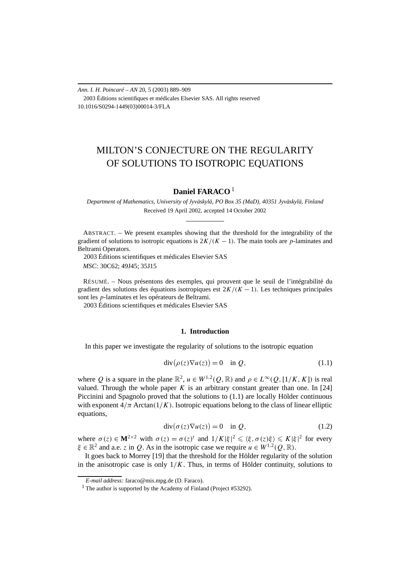*Ann. I. H. Poincaré – AN* 20, 5 (2003) 889–909 2003 Éditions scientifiques et médicales Elsevier SAS. All rights reserved 10.1016/S0294-1449(03)00014-3/FLA

# MILTON'S CONJECTURE ON THE REGULARITY OF SOLUTIONS TO ISOTROPIC EQUATIONS

# **Daniel FARACO** <sup>1</sup>

*Department of Mathematics, University of Jyväskylä, PO Box 35 (MaD), 40351 Jyväskylä, Finland* Received 19 April 2002, accepted 14 October 2002

ABSTRACT. – We present examples showing that the threshold for the integrability of the gradient of solutions to isotropic equations is  $2K/(K-1)$ . The main tools are *p*-laminates and Beltrami Operators.

2003 Éditions scientifiques et médicales Elsevier SAS

*MSC:* 30C62; 49J45; 35J15

RÉSUMÉ. – Nous présentons des exemples, qui prouvent que le seuil de l'intégrabilité du gradient des solutions des équations isotropiques est 2*K/(K* − 1*)*. Les techniques principales sont les *p*-laminates et les opérateurs de Beltrami.

2003 Éditions scientifiques et médicales Elsevier SAS

# **1. Introduction**

In this paper we investigate the regularity of solutions to the isotropic equation

$$
\operatorname{div}(\rho(z)\nabla u(z)) = 0 \quad \text{in } Q,\tag{1.1}
$$

where *Q* is a square in the plane  $\mathbb{R}^2$ ,  $u \in W^{1,2}(Q,\mathbb{R})$  and  $\rho \in L^{\infty}(Q,[1/K,K])$  is real valued. Through the whole paper  $K$  is an arbitrary constant greater than one. In [24] Piccinini and Spagnolo proved that the solutions to (1.1) are locally Hölder continuous with exponent  $4/\pi$  Arctan $(1/K)$ . Isotropic equations belong to the class of linear elliptic equations,

$$
\operatorname{div}(\sigma(z)\nabla u(z)) = 0 \quad \text{in } Q,\tag{1.2}
$$

where  $\sigma(z) \in M^{2 \times 2}$  with  $\sigma(z) = \sigma(z)^t$  and  $1/K |\xi|^2 \leq \langle \xi, \sigma(z) \xi \rangle \leq K |\xi|^2$  for every  $\xi \in \mathbb{R}^2$  and a.e. *z* in *Q*. As in the isotropic case we require  $u \in W^{1,2}(O,\mathbb{R})$ .

It goes back to Morrey [19] that the threshold for the Hölder regularity of the solution in the anisotropic case is only  $1/K$ . Thus, in terms of Hölder continuity, solutions to

*E-mail address:* faraco@mis.mpg.de (D. Faraco).

<sup>&</sup>lt;sup>1</sup> The author is supported by the Academy of Finland (Project #53292).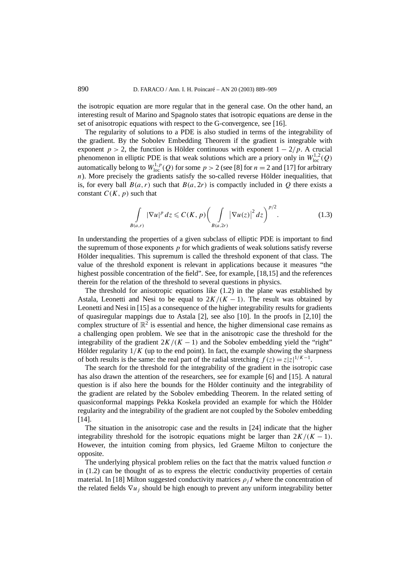the isotropic equation are more regular that in the general case. On the other hand, an interesting result of Marino and Spagnolo states that isotropic equations are dense in the set of anisotropic equations with respect to the G-convergence, see [16].

The regularity of solutions to a PDE is also studied in terms of the integrability of the gradient. By the Sobolev Embedding Theorem if the gradient is integrable with exponent  $p > 2$ , the function is Hölder continuous with exponent  $1 - 2/p$ . A crucial phenomenon in elliptic PDE is that weak solutions which are a priory only in  $W^{1,2}_{loc}(Q)$ automatically belong to  $W^{1,p}_{loc}(Q)$  for some  $p > 2$  (see [8] for  $n = 2$  and [17] for arbitrary *n*). More precisely the gradients satisfy the so-called reverse Hölder inequalities, that is, for every ball  $B(a, r)$  such that  $B(a, 2r)$  is compactly included in *Q* there exists a constant  $C(K, p)$  such that

$$
\int\limits_{B(a,r)} |\nabla u|^p dz \leqslant C(K,p) \bigg(\int\limits_{B(a,2r)} |\nabla u(z)|^2 dz\bigg)^{p/2}.
$$
 (1.3)

In understanding the properties of a given subclass of elliptic PDE is important to find the supremum of those exponents *p* for which gradients of weak solutions satisfy reverse Hölder inequalities. This supremum is called the threshold exponent of that class. The value of the threshold exponent is relevant in applications because it measures "the highest possible concentration of the field". See, for example, [18,15] and the references therein for the relation of the threshold to several questions in physics.

The threshold for anisotropic equations like (1.2) in the plane was established by Astala, Leonetti and Nesi to be equal to  $2K/(K-1)$ . The result was obtained by Leonetti and Nesi in [15] as a consequence of the higher integrability results for gradients of quasiregular mappings due to Astala [2], see also [10]. In the proofs in [2,10] the complex structure of  $\mathbb{R}^2$  is essential and hence, the higher dimensional case remains as a challenging open problem. We see that in the anisotropic case the threshold for the integrability of the gradient  $2K/(K-1)$  and the Sobolev embedding yield the "right" Hölder regularity  $1/K$  (up to the end point). In fact, the example showing the sharpness of both results is the same: the real part of the radial stretching  $f(z) = z|z|^{1/K-1}$ .

The search for the threshold for the integrability of the gradient in the isotropic case has also drawn the attention of the researchers, see for example [6] and [15]. A natural question is if also here the bounds for the Hölder continuity and the integrability of the gradient are related by the Sobolev embedding Theorem. In the related setting of quasiconformal mappings Pekka Koskela provided an example for which the Hölder regularity and the integrability of the gradient are not coupled by the Sobolev embedding [14].

The situation in the anisotropic case and the results in [24] indicate that the higher integrability threshold for the isotropic equations might be larger than  $2K/(K-1)$ . However, the intuition coming from physics, led Graeme Milton to conjecture the opposite.

The underlying physical problem relies on the fact that the matrix valued function *σ* in (1.2) can be thought of as to express the electric conductivity properties of certain material. In [18] Milton suggested conductivity matrices  $\rho_i I$  where the concentration of the related fields  $\nabla u_i$  should be high enough to prevent any uniform integrability better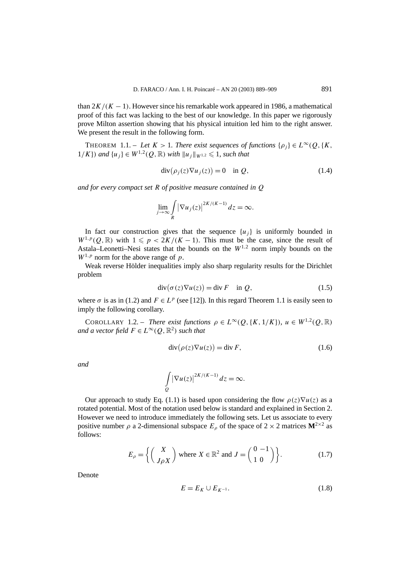than  $2K/(K-1)$ . However since his remarkable work appeared in 1986, a mathematical proof of this fact was lacking to the best of our knowledge. In this paper we rigorously prove Milton assertion showing that his physical intuition led him to the right answer. We present the result in the following form.

THEOREM 1.1. – Let  $K > 1$ . There exist sequences of functions  $\{\rho_i\} \in L^{\infty}(Q, \{K, \}$ 1/K}) and  $\{u_i\}$  ∈  $W^{1,2}(Q,\mathbb{R})$  *with*  $||u_i||_{W^{1,2}} \le 1$ , such that

$$
\operatorname{div}(\rho_j(z)\nabla u_j(z)) = 0 \quad \text{in } Q,\tag{1.4}
$$

*and for every compact set R of positive measure contained in Q*

$$
\lim_{j \to \infty} \int\limits_R |\nabla u_j(z)|^{2K/(K-1)} dz = \infty.
$$

In fact our construction gives that the sequence  $\{u_i\}$  is uniformly bounded in  $W^{1,p}(Q,\mathbb{R})$  with  $1 \leq p \leq 2K/(K-1)$ . This must be the case, since the result of Astala–Leonetti–Nesi states that the bounds on the  $W^{1,2}$  norm imply bounds on the  $W^{1,p}$  norm for the above range of *p*.

Weak reverse Hölder inequalities imply also sharp regularity results for the Dirichlet problem

$$
\operatorname{div}(\sigma(z)\nabla u(z)) = \operatorname{div} F \quad \text{in } Q,\tag{1.5}
$$

where  $\sigma$  is as in (1.2) and  $F \in L^p$  (see [12]). In this regard Theorem 1.1 is easily seen to imply the following corollary.

COROLLARY 1.2. – *There exist functions*  $\rho \in L^{\infty}(Q, \{K, 1/K\})$ ,  $u \in W^{1,2}(Q, \mathbb{R})$ *and a vector field*  $F \in L^{\infty}(Q, \mathbb{R}^2)$  *such that* 

$$
\operatorname{div}(\rho(z)\nabla u(z)) = \operatorname{div} F,\tag{1.6}
$$

*and*

$$
\int\limits_{Q} \left|\nabla u(z)\right|^{2K/(K-1)} dz = \infty.
$$

Our approach to study Eq. (1.1) is based upon considering the flow  $\rho(z)\nabla u(z)$  as a rotated potential. Most of the notation used below is standard and explained in Section 2. However we need to introduce immediately the following sets. Let us associate to every positive number  $\rho$  a 2-dimensional subspace  $E_\rho$  of the space of 2 × 2 matrices  $\mathbf{M}^{2\times 2}$  as follows:

$$
E_{\rho} = \left\{ \begin{pmatrix} X \\ J_{\rho} X \end{pmatrix} \text{ where } X \in \mathbb{R}^2 \text{ and } J = \begin{pmatrix} 0 & -1 \\ 1 & 0 \end{pmatrix} \right\}.
$$
 (1.7)

Denote

$$
E = E_K \cup E_{K^{-1}}.\tag{1.8}
$$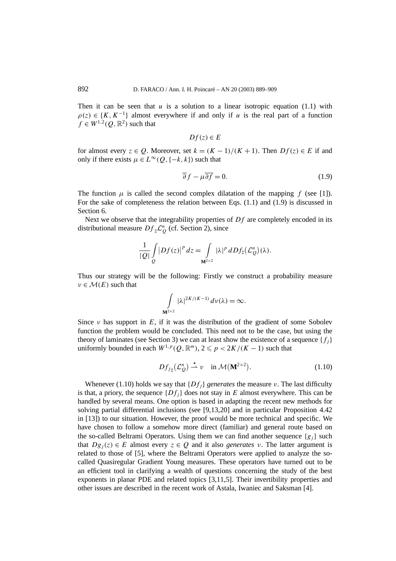Then it can be seen that  $u$  is a solution to a linear isotropic equation (1.1) with  $\rho(z) \in \{K, K^{-1}\}\$ almost everywhere if and only if *u* is the real part of a function  $f \in W^{1,2}(O,\mathbb{R}^2)$  such that

$$
Df(z) \in E
$$

for almost every  $z \in Q$ . Moreover, set  $k = (K - 1)/(K + 1)$ . Then  $Df(z) \in E$  if and only if there exists  $\mu$  ∈  $L^{\infty}(Q, \{-k, k\})$  such that

$$
\overline{\partial} f - \mu \overline{\partial f} = 0. \tag{1.9}
$$

The function  $\mu$  is called the second complex dilatation of the mapping  $f$  (see [1]). For the sake of completeness the relation between Eqs. (1.1) and (1.9) is discussed in Section 6.

Next we observe that the integrability properties of *Df* are completely encoded in its distributional measure  $Df_{\mu} \mathcal{L}_{Q}^{n}$  (cf. Section 2), since

$$
\frac{1}{|Q|}\int\limits_{Q}|Df(z)|^p\,dz=\int\limits_{\mathbf{M}^{2\times 2}}|\lambda|^p\,dDf_{\sharp}(\mathcal{L}_Q^n)(\lambda).
$$

Thus our strategy will be the following: Firstly we construct a probability measure  $\nu \in \mathcal{M}(E)$  such that

$$
\int_{\mathbf{M}^{2\times 2}} |\lambda|^{2K/(K-1)} d\nu(\lambda) = \infty.
$$

Since  $\nu$  has support in *E*, if it was the distribution of the gradient of some Sobolev function the problem would be concluded. This need not to be the case, but using the theory of laminates (see Section 3) we can at least show the existence of a sequence  $\{f_i\}$ uniformly bounded in each  $W^{1,p}(Q,\mathbb{R}^m)$ ,  $2 \leq p < 2K/(K-1)$  such that

$$
Df_{j\sharp}(\mathcal{L}_Q^n) \stackrel{\star}{\rightharpoonup} \nu \quad \text{in } \mathcal{M}(\mathbf{M}^{2\times 2}).\tag{1.10}
$$

Whenever (1.10) holds we say that  ${Df_i}$  *generates* the measure *ν*. The last difficulty is that, a priory, the sequence  ${Df_i}$  does not stay in *E* almost everywhere. This can be handled by several means. One option is based in adapting the recent new methods for solving partial differential inclusions (see [9,13,20] and in particular Proposition 4.42 in [13]) to our situation. However, the proof would be more technical and specific. We have chosen to follow a somehow more direct (familiar) and general route based on the so-called Beltrami Operators. Using them we can find another sequence  ${g_i}$  such that  $Dg_i(z) \in E$  almost every  $z \in Q$  and it also *generates*  $v$ . The latter argument is related to those of [5], where the Beltrami Operators were applied to analyze the socalled Quasiregular Gradient Young measures. These operators have turned out to be an efficient tool in clarifying a wealth of questions concerning the study of the best exponents in planar PDE and related topics [3,11,5]. Their invertibility properties and other issues are described in the recent work of Astala, Iwaniec and Saksman [4].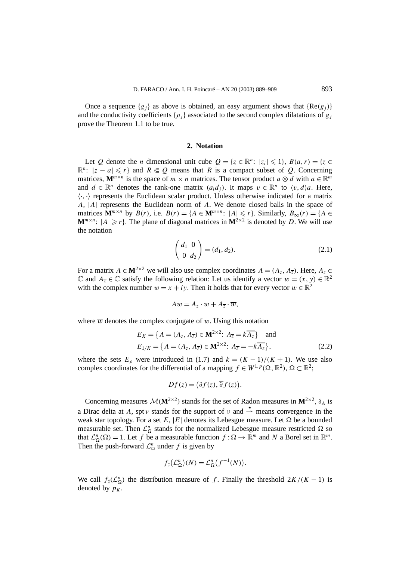Once a sequence  ${g_i}$  as above is obtained, an easy argument shows that  ${Re(g_i)}$ and the conductivity coefficients  $\{\rho_i\}$  associated to the second complex dilatations of  $g_j$ prove the Theorem 1.1 to be true.

#### **2. Notation**

Let *Q* denote the *n* dimensional unit cube  $Q = \{z \in \mathbb{R}^n : |z_i| \leq 1\}$ ,  $B(a, r) = \{z \in \mathbb{R}^n : |z_i| \leq 1\}$  $\mathbb{R}^n$ :  $|z - a| \leq r$  and  $R \in \mathcal{Q}$  means that R is a compact subset of  $\mathcal{Q}$ . Concerning matrices,  $\mathbf{M}^{m \times n}$  is the space of  $m \times n$  matrices. The tensor product  $a \otimes d$  with  $a \in \mathbb{R}^m$ and  $d \in \mathbb{R}^n$  denotes the rank-one matrix  $(a_i d_j)$ . It maps  $v \in \mathbb{R}^n$  to  $\langle v, d \rangle a$ . Here,  $\langle \cdot, \cdot \rangle$  represents the Euclidean scalar product. Unless otherwise indicated for a matrix *A*, |*A*| represents the Euclidean norm of *A*. We denote closed balls in the space of matrices  $\mathbf{M}^{m \times n}$  by  $B(r)$ , i.e.  $B(r) = \{A \in \mathbf{M}^{m \times n}: |A| \leq r\}$ . Similarly,  $B_{\infty}(r) = \{A \in \mathbf{M}^{m \times n}: |A| \leq r\}$ .  $M^{m \times n}$ :  $|A| \geq r$ . The plane of diagonal matrices in  $M^{2 \times 2}$  is denoted by *D*. We will use the notation

$$
\begin{pmatrix} d_1 & 0 \\ 0 & d_2 \end{pmatrix} = (d_1, d_2). \tag{2.1}
$$

For a matrix  $A \in M^{2\times 2}$  we will also use complex coordinates  $A = (A_z, A_{\overline{z}})$ . Here,  $A_z \in$  $\mathbb C$  and  $A_{\overline{z}} \in \mathbb C$  satisfy the following relation: Let us identify a vector  $w = (x, y) \in \mathbb R^2$ with the complex number  $w = x + iy$ . Then it holds that for every vector  $w \in \mathbb{R}^2$ 

$$
Aw=A_z\cdot w+A_{\overline{z}}\cdot\overline{w},
$$

where  $\overline{w}$  denotes the complex conjugate of  $w$ . Using this notation

$$
E_K = \{ A = (A_z, A_{\overline{z}}) \in \mathbf{M}^{2 \times 2}: A_{\overline{z}} = k \overline{A_z} \} \text{ and}
$$
  
\n
$$
E_{1/K} = \{ A = (A_z, A_{\overline{z}}) \in \mathbf{M}^{2 \times 2}: A_{\overline{z}} = -k \overline{A_z} \},
$$
 (2.2)

where the sets  $E_\rho$  were introduced in (1.7) and  $k = (K - 1)/(K + 1)$ . We use also complex coordinates for the differential of a mapping  $f \in W^{1,p}(\Omega,\mathbb{R}^2)$ ,  $\Omega \subset \mathbb{R}^2$ ;

$$
Df(z) = (\partial f(z), \overline{\partial} f(z)).
$$

Concerning measures  $\mathcal{M}(\mathbf{M}^{2\times2})$  stands for the set of Radon measures in  $\mathbf{M}^{2\times2}$ ,  $\delta_A$  is a Dirac delta at *A*, spt *ν* stands for the support of *ν* and  $\stackrel{\star}{\rightharpoonup}$  means convergence in the weak star topology. For a set  $E$ ,  $|E|$  denotes its Lebesgue measure. Let  $\Omega$  be a bounded measurable set. Then  $\mathcal{L}_{\Omega}^n$  stands for the normalized Lebesgue measure restricted  $\Omega$  so that  $\mathcal{L}_{\Omega}^{n}(\Omega) = 1$ . Let *f* be a measurable function  $f : \Omega \to \mathbb{R}^{m}$  and *N* a Borel set in  $\mathbb{R}^{m}$ . Then the push-forward  $\mathcal{L}_{\Omega}^{n}$  under f is given by

$$
f_{\sharp}(\mathcal{L}_{\Omega}^{n})(N) = \mathcal{L}_{\Omega}^{n}(f^{-1}(N)).
$$

We call  $f_{\sharp}(\mathcal{L}_{\Omega}^n)$  the distribution measure of *f*. Finally the threshold  $2K/(K-1)$  is denoted by  $p_K$ .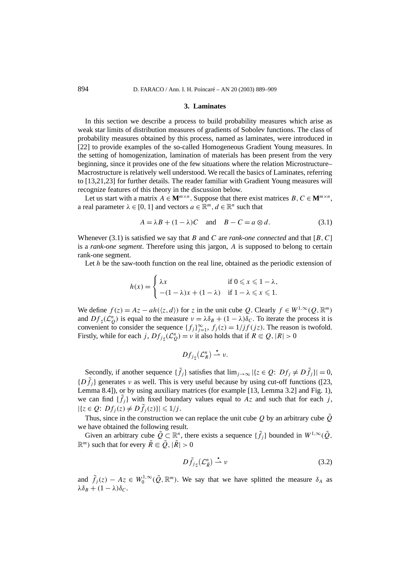#### **3. Laminates**

In this section we describe a process to build probability measures which arise as weak star limits of distribution measures of gradients of Sobolev functions. The class of probability measures obtained by this process, named as laminates, were introduced in [22] to provide examples of the so-called Homogeneous Gradient Young measures. In the setting of homogenization, lamination of materials has been present from the very beginning, since it provides one of the few situations where the relation Microstructure– Macrostructure is relatively well understood. We recall the basics of Laminates, referring to [13,21,23] for further details. The reader familiar with Gradient Young measures will recognize features of this theory in the discussion below.

Let us start with a matrix  $A \in M^{m \times n}$ . Suppose that there exist matrices  $B, C \in M^{m \times n}$ , a real parameter  $\lambda \in [0, 1]$  and vectors  $a \in \mathbb{R}^m$ ,  $d \in \mathbb{R}^n$  such that

$$
A = \lambda B + (1 - \lambda)C \quad \text{and} \quad B - C = a \otimes d. \tag{3.1}
$$

Whenever (3.1) is satisfied we say that *B* and *C* are *rank-one connected* and that [*B,C*] is a *rank-one segment*. Therefore using this jargon, *A* is supposed to belong to certain rank-one segment.

Let *h* be the saw-tooth function on the real line, obtained as the periodic extension of

$$
h(x) = \begin{cases} \lambda x & \text{if } 0 \leq x \leq 1 - \lambda, \\ -(1 - \lambda)x + (1 - \lambda) & \text{if } 1 - \lambda \leq x \leq 1. \end{cases}
$$

We define  $f(z) = Az - ah(\langle z, d \rangle)$  for *z* in the unit cube *Q*. Clearly  $f \in W^{1,\infty}(Q, \mathbb{R}^m)$ and  $Df_{\sharp}(\mathcal{L}_{Q}^{n})$  is equal to the measure  $\nu = \lambda \delta_{B} + (1 - \lambda)\delta_{C}$ . To iterate the process it is convenient to consider the sequence  $\{f_j\}_{j=1}^{\infty}$ ,  $f_j(z) = 1/jf(jz)$ . The reason is twofold. Firstly, while for each *j*,  $Df_{j\sharp}(\mathcal{L}_Q^n) = v$  it also holds that if  $R \in Q, |R| > 0$ 

$$
Df_{j\sharp}(\mathcal{L}_R^n) \stackrel{\star}{\rightharpoonup} \nu.
$$

Secondly, if another sequence  $\{\tilde{f}_j\}$  satisfies that  $\lim_{j\to\infty} |\{z \in Q: Df_j \neq D\tilde{f}_j\}| = 0$ ,  $\{D \tilde{f}_j\}$  generates *ν* as well. This is very useful because by using cut-off functions ([23, Lemma 8.4]), or by using auxiliary matrices (for example [13, Lemma 3.2] and Fig. 1), we can find  $\{\tilde{f}_j\}$  with fixed boundary values equal to  $Az$  and such that for each *j*,  $|\{z \in Q : Df_j(z) \neq D\tilde{f}_j(z)\}| \leq 1/j$ .

Thus, since in the construction we can replace the unit cube  $Q$  by an arbitrary cube  $\tilde{Q}$ we have obtained the following result.

Given an arbitrary cube  $\tilde{Q} \subset \mathbb{R}^n$ , there exists a sequence  $\{\tilde{f}_j\}$  bounded in  $W^{1,\infty}(\tilde{Q}, \tilde{Q})$  $\mathbb{R}^m$ ) such that for every  $\tilde{R} \Subset \tilde{Q}$ ,  $|\tilde{R}| > 0$ 

$$
D\tilde{f}_{j\sharp}(\mathcal{L}_{\tilde{R}}^n) \stackrel{\star}{\rightharpoonup} \nu \tag{3.2}
$$

and  $\tilde{f}_j(z) - Az \in W_0^{1,\infty}(\tilde{Q}, \mathbb{R}^m)$ . We say that we have splitted the measure  $\delta_A$  as  $λδ_B + (1 - λ)δ_C$ .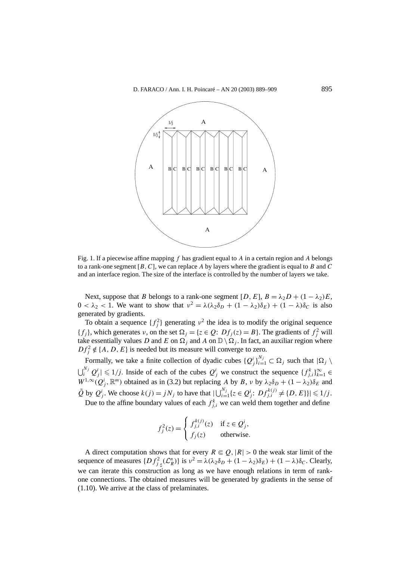

Fig. 1. If a piecewise affine mapping *f* has gradient equal to *A* in a certain region and *A* belongs to a rank-one segment [*B,C*], we can replace *A* by layers where the gradient is equal to *B* and *C* and an interface region. The size of the interface is controlled by the number of layers we take.

Next, suppose that *B* belongs to a rank-one segment  $[D, E]$ ,  $B = \lambda_2 D + (1 - \lambda_2)E$ ,  $0 < \lambda_2 < 1$ . We want to show that  $v^2 = \lambda(\lambda_2\delta_D + (1 - \lambda_2)\delta_E) + (1 - \lambda)\delta_C$  is also generated by gradients.

To obtain a sequence  $\{f_j^2\}$  generating  $v^2$  the idea is to modify the original sequence  ${f_j}$ , which generates *ν*, on the set  $\Omega_j = \{z \in Q: Df_j(z) = B\}$ . The gradients of  $f_j^2$  will take essentially values *D* and *E* on  $\Omega$ <sub>*i*</sub> and *A* on  $\mathbb{D}\setminus\Omega$ <sub>*i*</sub>. In fact, an auxiliar region where  $Df_j^2 \notin \{A, D, E\}$  is needed but its measure will converge to zero.

Formally, we take a finite collection of dyadic cubes  $\{Q_j^i\}_{i=1}^{N_j} \subset \Omega_j$  such that  $|\Omega_j \setminus \Omega_j|$  $\bigcup_{i}^{N_j} Q_j^i \big| \leq 1/j$ . Inside of each of the cubes  $Q_j^i$  we construct the sequence  $\{f_{j,i}^k\}_{k=1}^{\infty} \in$  $W^{1,\infty}(Q_j^i, \mathbb{R}^m)$  obtained as in (3.2) but replacing *A* by *B*, *ν* by  $\lambda_2 \delta_D + (1 - \lambda_2) \delta_E$  and  $\tilde{Q}$  by  $Q_j^i$ . We choose  $k(j) = jN_j$  to have that  $|\bigcup_{i=1}^{N_j} \{z \in Q_j^i : Df_{j,i}^{k(j)} \neq \{D, E\}\}| \leq 1/j$ .

Due to the affine boundary values of each  $f_{j,i}^k$  we can weld them together and define

$$
f_j^2(z) = \begin{cases} f_{j,i}^{k(j)}(z) & \text{if } z \in \mathcal{Q}_j^i, \\ f_j(z) & \text{otherwise.} \end{cases}
$$

A direct computation shows that for every  $R \in \mathcal{Q}, |R| > 0$  the weak star limit of the sequence of measures  $\{Df_{j\mu}^2(\mathcal{L}_R^n)\}\$ is  $\nu^2 = \lambda(\lambda_2\delta_D + (1 - \lambda_2)\delta_E) + (1 - \lambda)\delta_C$ . Clearly, we can iterate this construction as long as we have enough relations in term of rankone connections. The obtained measures will be generated by gradients in the sense of (1.10). We arrive at the class of prelaminates.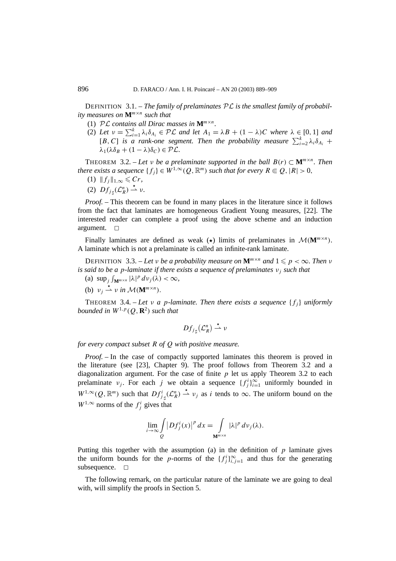DEFINITION 3.1. – *The family of prelaminates* PL *is the smallest family of probability measures on* **M***<sup>m</sup>*×*<sup>n</sup> such that*

- (1)  $\mathcal{PL}$  *contains all Dirac masses in*  $\mathbf{M}^{m \times n}$ *.*
- (2) Let  $v = \sum_{i=1}^{k} \lambda_i \delta_{A_i} \in \mathcal{PL}$  and let  $A_1 = \lambda B + (1 \lambda)C$  where  $\lambda \in [0, 1]$  and  $[B, C]$  *is a rank-one segment. Then the probability measure*  $\sum_{i=2}^{k} \lambda_i \delta_{A_i}$  +  $\lambda_1(\lambda \delta_B + (1 - \lambda)\delta_C) \in \mathcal{PL}$ .

THEOREM 3.2. – Let *v* be a prelaminate supported in the ball  $B(r) \subset M^{m \times n}$ . Then *there exists a sequence*  $\{f_j\} \in W^{1,\infty}(Q,\mathbb{R}^m)$  *such that for every*  $R \in Q$ ,  $|R| > 0$ ,

- (1)  $||f_i||_{1,\infty}$  ≤ Cr,
- (2)  $Df_{j\sharp}(\mathcal{L}_R^n) \stackrel{\star}{\rightharpoonup} v.$

*Proof. –* This theorem can be found in many places in the literature since it follows from the fact that laminates are homogeneous Gradient Young measures, [22]. The interested reader can complete a proof using the above scheme and an induction argument.  $\square$ 

Finally laminates are defined as weak ( $\star$ ) limits of prelaminates in  $\mathcal{M}(\mathbf{M}^{m \times n})$ . A laminate which is not a prelaminate is called an infinite-rank laminate.

**DEFINITION** 3.3. – Let *v* be a probability measure on  $\mathbf{M}^{m \times n}$  and  $1 \leq p < \infty$ . Then *v is said to be a p-laminate if there exists a sequence of prelaminates νj such that*

- (a)  $\sup_j \int_{\mathbf{M}^{m \times n}} |\lambda|^p d\nu_j(\lambda) < \infty$ ,
- (b)  $v_j \stackrel{\star}{\rightharpoonup} v$  *in*  $\mathcal{M}(\mathbf{M}^{m \times n})$ .

THEOREM 3.4. – Let *v a p*-laminate. Then there exists a sequence  $\{f_i\}$  uniformly *bounded in*  $W^{1,p}(Q, \mathbf{R}^2)$  *such that* 

$$
Df_{j\sharp}(\mathcal{L}_R^n) \stackrel{\star}{\rightharpoonup} \nu
$$

*for every compact subset R of Q with positive measure.*

*Proof.* – In the case of compactly supported laminates this theorem is proved in the literature (see [23], Chapter 9). The proof follows from Theorem 3.2 and a diagonalization argument. For the case of finite  $p$  let us apply Theorem 3.2 to each prelaminate *ν<sub>j</sub>*. For each *j* we obtain a sequence  $\{f_j^i\}_{i=1}^{\infty}$  uniformly bounded in  $W^{1,\infty}(Q,\mathbb{R}^m)$  such that  $Df^i_{j\sharp}(\mathcal{L}^n_R) \stackrel{\star}{\rightharpoonup} v_j$  as *i* tends to  $\infty$ . The uniform bound on the  $W^{1,\infty}$  norms of the  $f_j^i$  gives that

$$
\lim_{i\to\infty}\int\limits_{Q}\left|Df_j^i(x)\right|^p dx=\int\limits_{\mathbf{M}^{m\times n}}|\lambda|^p\,dv_j(\lambda).
$$

Putting this together with the assumption (a) in the definition of *p* laminate gives the uniform bounds for the *p*-norms of the  ${f_j^i}_{i,j=1}^{\infty}$  and thus for the generating subsequence.  $\square$ 

The following remark, on the particular nature of the laminate we are going to deal with, will simplify the proofs in Section 5.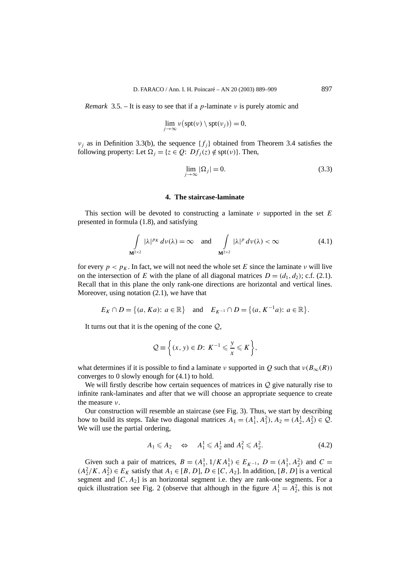*Remark* 3.5. – It is easy to see that if a *p*-laminate *ν* is purely atomic and

$$
\lim_{j\to\infty}\nu\big(\text{spt}(\nu)\setminus\text{spt}(\nu_j)\big)=0,
$$

*ν<sub>i</sub>* as in Definition 3.3(b), the sequence  ${f_i}$  obtained from Theorem 3.4 satisfies the following property: Let  $\Omega_i = \{z \in Q: Df_i(z) \notin \text{spt}(v)\}\)$ . Then,

$$
\lim_{j \to \infty} |\Omega_j| = 0. \tag{3.3}
$$

## **4. The staircase-laminate**

This section will be devoted to constructing a laminate *ν* supported in the set *E* presented in formula (1.8), and satisfying

$$
\int_{\mathbf{M}^{2\times 2}} |\lambda|^{p_K} dv(\lambda) = \infty \quad \text{and} \quad \int_{\mathbf{M}^{2\times 2}} |\lambda|^{p} dv(\lambda) < \infty \tag{4.1}
$$

for every  $p < p<sub>K</sub>$ . In fact, we will not need the whole set *E* since the laminate *ν* will live on the intersection of *E* with the plane of all diagonal matrices  $D = (d_1, d_2)$ ; c.f. (2.1). Recall that in this plane the only rank-one directions are horizontal and vertical lines. Moreover, using notation (2.1), we have that

$$
E_K \cap D = \{(a, Ka): a \in \mathbb{R}\} \text{ and } E_{K^{-1}} \cap D = \{(a, K^{-1}a): a \in \mathbb{R}\}.
$$

It turns out that it is the opening of the cone  $Q$ ,

$$
\mathcal{Q} \equiv \left\{ (x, y) \in D : K^{-1} \leqslant \frac{y}{x} \leqslant K \right\},\
$$

what determines if it is possible to find a laminate *ν* supported in *Q* such that  $v(B_\infty(R))$ converges to 0 slowly enough for (4.1) to hold.

We will firstly describe how certain sequences of matrices in  $Q$  give naturally rise to infinite rank-laminates and after that we will choose an appropriate sequence to create the measure *ν*.

Our construction will resemble an staircase (see Fig. 3). Thus, we start by describing how to build its steps. Take two diagonal matrices  $A_1 = (A_1^1, A_1^2), A_2 = (A_2^1, A_2^2) \in \mathcal{Q}$ . We will use the partial ordering,

$$
A_1 \leqslant A_2 \quad \Leftrightarrow \quad A_1^1 \leqslant A_2^1 \text{ and } A_1^2 \leqslant A_2^2. \tag{4.2}
$$

Given such a pair of matrices,  $B = (A_1^1, 1/KA_1^1) \in E_{K^{-1}}$ ,  $D = (A_1^1, A_2^2)$  and  $C =$ *(A*<sup>2</sup>/*K*, *A*<sup>2</sup>) ∈ *E<sub>K</sub>* satisfy that *A*<sub>1</sub> ∈ [*B*, *D*], *D* ∈ [*C*, *A*<sub>2</sub>]. In addition, [*B*, *D*] is a vertical segment and  $[C, A<sub>2</sub>]$  is an horizontal segment i.e. they are rank-one segments. For a quick illustration see Fig. 2 (observe that although in the figure  $A_1^1 = A_2^2$ , this is not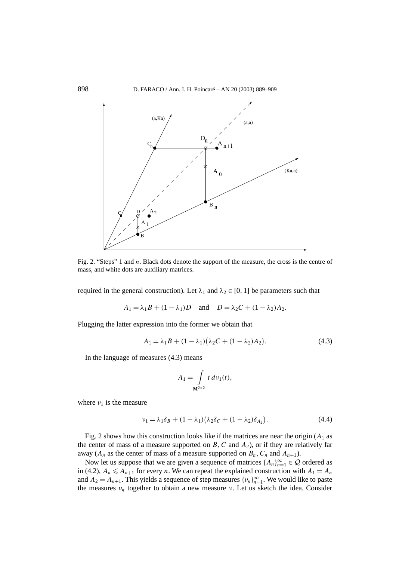

Fig. 2. "Steps" 1 and *n*. Black dots denote the support of the measure, the cross is the centre of mass, and white dots are auxiliary matrices.

required in the general construction). Let *λ*<sup>1</sup> and *λ*<sup>2</sup> ∈ [0*,* 1] be parameters such that

$$
A_1 = \lambda_1 B + (1 - \lambda_1)D \quad \text{and} \quad D = \lambda_2 C + (1 - \lambda_2)A_2.
$$

Plugging the latter expression into the former we obtain that

$$
A_1 = \lambda_1 B + (1 - \lambda_1)(\lambda_2 C + (1 - \lambda_2)A_2).
$$
 (4.3)

In the language of measures (4.3) means

$$
A_1 = \int\limits_{\mathbf{M}^{2 \times 2}} t \, d\nu_1(t),
$$

where  $v_1$  is the measure

$$
\nu_1 = \lambda_1 \delta_B + (1 - \lambda_1) (\lambda_2 \delta_C + (1 - \lambda_2) \delta_{A_2}). \tag{4.4}
$$

Fig. 2 shows how this construction looks like if the matrices are near the origin  $(A_1$  as the center of mass of a measure supported on  $B$ ,  $C$  and  $A_2$ ), or if they are relatively far away ( $A_n$  as the center of mass of a measure supported on  $B_n$ ,  $C_n$  and  $A_{n+1}$ ).

Now let us suppose that we are given a sequence of matrices  $\{A_n\}_{n=1}^{\infty} \in \mathcal{Q}$  ordered as in (4.2),  $A_n \leq A_{n+1}$  for every *n*. We can repeat the explained construction with  $A_1 = A_n$ and  $A_2 = A_{n+1}$ . This yields a sequence of step measures  $\{v_n\}_{n=1}^{\infty}$ . We would like to paste the measures  $v_n$  together to obtain a new measure *ν*. Let us sketch the idea. Consider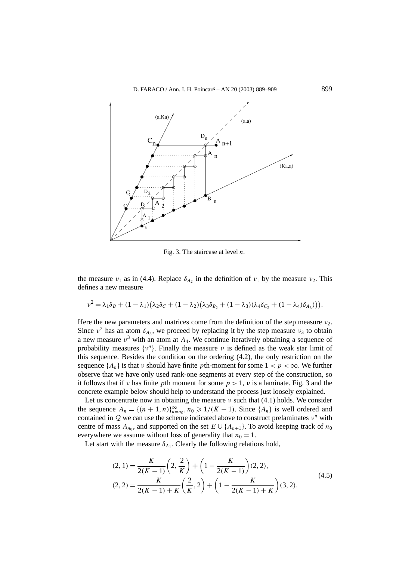

Fig. 3. The staircase at level *n*.

the measure *ν*<sub>1</sub> as in (4.4). Replace  $\delta_{A_2}$  in the definition of *ν*<sub>1</sub> by the measure *ν*<sub>2</sub>. This defines a new measure

$$
\nu^2 = \lambda_1 \delta_B + (1 - \lambda_1) (\lambda_2 \delta_C + (1 - \lambda_2) (\lambda_3 \delta_{B_2} + (1 - \lambda_3) (\lambda_4 \delta_{C_2} + (1 - \lambda_4) \delta_{A_3}))).
$$

Here the new parameters and matrices come from the definition of the step measure *ν*2. Since  $v^2$  has an atom  $\delta_{A_3}$ , we proceed by replacing it by the step measure  $v_3$  to obtain a new measure  $v^3$  with an atom at  $A_4$ . We continue iteratively obtaining a sequence of probability measures  $\{v^n\}$ . Finally the measure *ν* is defined as the weak star limit of this sequence. Besides the condition on the ordering (4.2), the only restriction on the sequence  $\{A_n\}$  is that *ν* should have finite *p*th-moment for some  $1 < p < \infty$ . We further observe that we have only used rank-one segments at every step of the construction, so it follows that if *ν* has finite *p*th moment for some *p >* 1, *ν* is a laminate. Fig. 3 and the concrete example below should help to understand the process just loosely explained.

Let us concentrate now in obtaining the measure  $\nu$  such that (4.1) holds. We consider the sequence  $A_n = \{(n+1,n)\}_{n=n_0}^{\infty}, n_0 \ge 1/(K-1)$ . Since  $\{A_n\}$  is well ordered and contained in <sup>Q</sup> we can use the scheme indicated above to construct prelaminates *<sup>ν</sup><sup>n</sup>* with centre of mass  $A_{n_0}$ , and supported on the set  $E \cup \{A_{n+1}\}\$ . To avoid keeping track of  $n_0$ everywhere we assume without loss of generality that  $n_0 = 1$ .

Let start with the measure  $\delta_{A_1}$ . Clearly the following relations hold,

$$
(2, 1) = \frac{K}{2(K-1)} \left( 2, \frac{2}{K} \right) + \left( 1 - \frac{K}{2(K-1)} \right) (2, 2),
$$
  

$$
(2, 2) = \frac{K}{2(K-1) + K} \left( \frac{2}{K}, 2 \right) + \left( 1 - \frac{K}{2(K-1) + K} \right) (3, 2).
$$
 (4.5)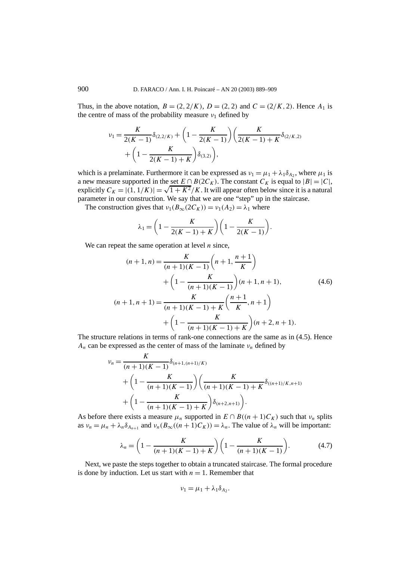Thus, in the above notation,  $B = (2, 2/K)$ ,  $D = (2, 2)$  and  $C = (2/K, 2)$ . Hence  $A_1$  is the centre of mass of the probability measure  $v_1$  defined by

$$
\nu_1 = \frac{K}{2(K-1)} \delta_{(2,2/K)} + \left(1 - \frac{K}{2(K-1)}\right) \left(\frac{K}{2(K-1) + K} \delta_{(2/K,2)}\right) + \left(1 - \frac{K}{2(K-1) + K}\right) \delta_{(3,2)}\right),
$$

which is a prelaminate. Furthermore it can be expressed as  $v_1 = \mu_1 + \lambda_1 \delta_{A_2}$ , where  $\mu_1$  is a new measure supported in the set  $E \cap B(2C_K)$ . The constant  $C_K$  is equal to  $|B| = |C|$ , explicitly  $C_K = |(1, 1/K)| = \sqrt{1 + K^2/K}$ . It will appear often below since it is a natural parameter in our construction. We say that we are one "step" up in the staircase.

The construction gives that  $v_1(B_\infty(2C_K)) = v_1(A_2) = \lambda_1$  where

$$
\lambda_1 = \left(1 - \frac{K}{2(K-1) + K}\right) \left(1 - \frac{K}{2(K-1)}\right).
$$

We can repeat the same operation at level *n* since,

$$
(n+1,n) = \frac{K}{(n+1)(K-1)} \left( n+1, \frac{n+1}{K} \right)
$$
  
+ 
$$
\left( 1 - \frac{K}{(n+1)(K-1)} \right) (n+1, n+1),
$$
  

$$
(n+1,n+1) = \frac{K}{(n+1)(K-1) + K} \left( \frac{n+1}{K}, n+1 \right)
$$
  
+ 
$$
\left( 1 - \frac{K}{(n+1)(K-1) + K} \right) (n+2, n+1).
$$
 (4.6)

The structure relations in terms of rank-one connections are the same as in (4.5). Hence  $A_n$  can be expressed as the center of mass of the laminate  $\nu_n$  defined by

$$
v_n = \frac{K}{(n+1)(K-1)} \delta_{(n+1,(n+1)/K)}
$$
  
+  $\left(1 - \frac{K}{(n+1)(K-1)}\right) \left(\frac{K}{(n+1)(K-1) + K} \delta_{((n+1)/K,n+1)}\right)$   
+  $\left(1 - \frac{K}{(n+1)(K-1) + K}\right) \delta_{(n+2,n+1)}.$ 

As before there exists a measure  $\mu_n$  supported in  $E \cap B((n+1)C_K)$  such that  $\nu_n$  splits as  $v_n = \mu_n + \lambda_n \delta_{A_{n+1}}$  and  $v_n(B_\infty((n+1)C_K)) = \lambda_n$ . The value of  $\lambda_n$  will be important:

$$
\lambda_n = \left(1 - \frac{K}{(n+1)(K-1) + K}\right) \left(1 - \frac{K}{(n+1)(K-1)}\right). \tag{4.7}
$$

Next, we paste the steps together to obtain a truncated staircase. The formal procedure is done by induction. Let us start with  $n = 1$ . Remember that

$$
\nu_1 = \mu_1 + \lambda_1 \delta_{A_2}.
$$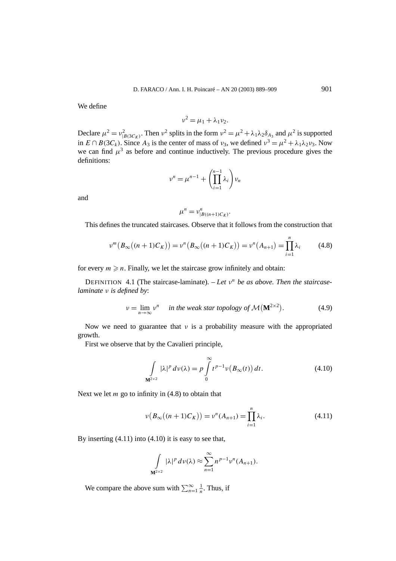We define

$$
v^2 = \mu_1 + \lambda_1 v_2.
$$

Declare  $\mu^2 = \nu_{|B(3C_K)}^2$ . Then  $\nu^2$  splits in the form  $\nu^2 = \mu^2 + \lambda_1 \lambda_2 \delta_{A_3}$  and  $\mu^2$  is supported in  $E \cap B(3C_k)$ . Since  $A_3$  is the center of mass of  $v_3$ , we defined  $v^3 = \mu^2 + \lambda_1 \lambda_2 v_3$ . Now we can find  $\mu^3$  as before and continue inductively. The previous procedure gives the definitions:

$$
\nu^n = \mu^{n-1} + \left(\prod_{i=1}^{n-1} \lambda_i\right) \nu_n
$$

and

$$
\mu^n = \nu^n_{|B((n+1)C_K)}.
$$

This defines the truncated staircases. Observe that it follows from the construction that

$$
\nu^{m}\big(B_{\infty}((n+1)C_K)\big) = \nu^{n}\big(B_{\infty}((n+1)C_K)\big) = \nu^{n}\big(A_{n+1}\big) = \prod_{i=1}^{n} \lambda_i
$$
 (4.8)

for every  $m \geq n$ . Finally, we let the staircase grow infinitely and obtain:

DEFINITION 4.1 (The staircase-laminate). – *Let ν<sup>n</sup> be as above. Then the staircaselaminate ν is defined by*:

$$
\nu = \lim_{n \to \infty} \nu^n \quad \text{ in the weak star topology of } \mathcal{M}(\mathbf{M}^{2 \times 2}). \tag{4.9}
$$

Now we need to guarantee that *ν* is a probability measure with the appropriated growth.

First we observe that by the Cavalieri principle,

$$
\int_{\mathbf{M}^{2\times 2}} |\lambda|^p \, d\upsilon(\lambda) = p \int_{0}^{\infty} t^{p-1} \upsilon\big(B_{\infty}(t)\big) \, dt. \tag{4.10}
$$

Next we let *m* go to infinity in (4.8) to obtain that

$$
\nu(B_{\infty}((n+1)C_K)) = \nu^n(A_{n+1}) = \prod_{i=1}^n \lambda_i.
$$
\n(4.11)

By inserting  $(4.11)$  into  $(4.10)$  it is easy to see that,

$$
\int_{\mathbf{M}^{2\times 2}} |\lambda|^p \, d\nu(\lambda) \approx \sum_{n=1}^{\infty} n^{p-1} \nu^n(A_{n+1}).
$$

We compare the above sum with  $\sum_{n=1}^{\infty} \frac{1}{n}$ . Thus, if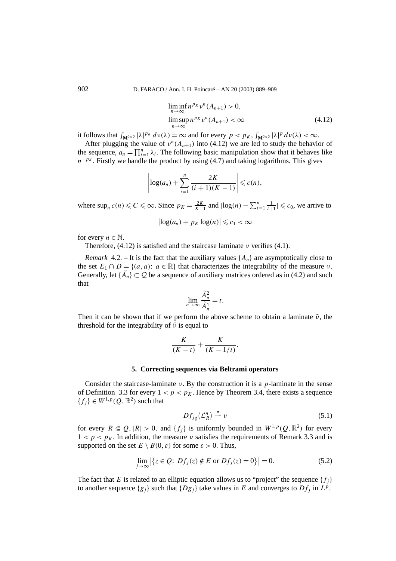$$
\liminf_{n \to \infty} n^{p_K} \nu^n(A_{n+1}) > 0,
$$
  
\n
$$
\limsup_{n \to \infty} n^{p_K} \nu^n(A_{n+1}) < \infty
$$
\n(4.12)

it follows that  $\int_{\mathbf{M}^{2\times 2}} |\lambda|^{p_K} dv(\lambda) = \infty$  and for every  $p < p_K$ ,  $\int_{\mathbf{M}^{2\times 2}} |\lambda|^{p} dv(\lambda) < \infty$ .

After plugging the value of  $v^n(A_{n+1})$  into (4.12) we are led to study the behavior of the sequence,  $a_n = \prod_{i=1}^n \lambda_i$ . The following basic manipulation show that it behaves like  $n^{-pK}$ . Firstly we handle the product by using (4.7) and taking logarithms. This gives

$$
\left|\log(a_n)+\sum_{i=1}^n\frac{2K}{(i+1)(K-1)}\right|\leqslant c(n),
$$

where  $\sup_n c(n) \leq C \leq \infty$ . Since  $p_K = \frac{2K}{K-1}$  and  $|\log(n) - \sum_{i=1}^n \frac{1}{i+1}| \leq c_0$ , we arrive to

$$
\left|\log(a_n)+p_K\log(n)\right|\leqslant c_1<\infty
$$

for every  $n \in \mathbb{N}$ .

Therefore, (4.12) is satisfied and the staircase laminate *ν* verifies (4.1).

*Remark* 4.2. – It is the fact that the auxiliary values  $\{A_n\}$  are asymptotically close to the set  $E_1 \cap D = \{(a, a): a \in \mathbb{R}\}\$  that characterizes the integrability of the measure *ν*. Generally, let  $\{\tilde{A}_n\} \subset \mathcal{Q}$  be a sequence of auxiliary matrices ordered as in (4.2) and such that

$$
\lim_{n \to \infty} \frac{\tilde{A}_n^2}{\tilde{A}_n^1} = t.
$$

Then it can be shown that if we perform the above scheme to obtain a laminate  $\tilde{\nu}$ , the threshold for the integrability of  $\tilde{ν}$  is equal to

$$
\frac{K}{(K-t)} + \frac{K}{(K-1/t)}.
$$

#### **5. Correcting sequences via Beltrami operators**

Consider the staircase-laminate *ν*. By the construction it is a *p*-laminate in the sense of Definition 3.3 for every  $1 < p < p<sub>K</sub>$ . Hence by Theorem 3.4, there exists a sequence  ${f_i} \in W^{1,p}(Q,\mathbb{R}^2)$  such that

$$
Df_{j\sharp}(\mathcal{L}_R^n) \stackrel{\star}{\rightharpoonup} \nu \tag{5.1}
$$

for every  $R \in Q$ ,  $|R| > 0$ , and  $\{f_j\}$  is uniformly bounded in  $W^{1,p}(Q,\mathbb{R}^2)$  for every  $1 < p < p<sub>K</sub>$ . In addition, the measure *ν* satisfies the requirements of Remark 3.3 and is supported on the set  $E \setminus B(0, \varepsilon)$  for some  $\varepsilon > 0$ . Thus,

$$
\lim_{j \to \infty} |\{z \in \mathcal{Q}: Df_j(z) \notin E \text{ or } Df_j(z) = 0\}| = 0.
$$
 (5.2)

The fact that *E* is related to an elliptic equation allows us to "project" the sequence  $\{f_i\}$ to another sequence  ${g_i}$  such that  ${Dg_i}$  take values in *E* and converges to  $Df_i$  in  $L^p$ .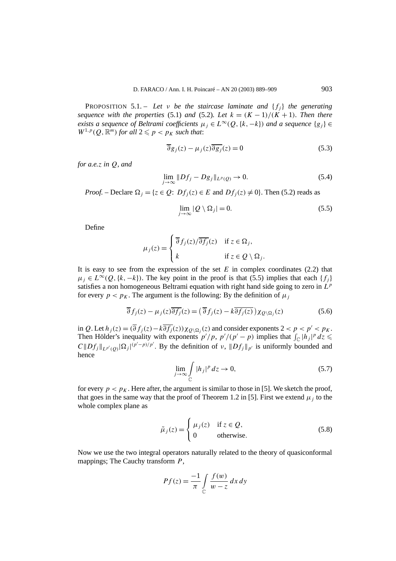PROPOSITION 5.1. – Let *v* be the staircase laminate and  $\{f_i\}$  the generating *sequence with the properties* (5.1) *and* (5.2)*.* Let  $k = (K-1)/(K+1)$ *. Then there exists a sequence of Beltrami coefficients*  $\mu_j \in L^\infty(Q, \{k, -k\})$  *and a sequence*  $\{g_j\} \in$  $W^{1,p}(Q,\mathbb{R}^m)$  *for all*  $2 \leqslant p < p_K$  *such that:* 

$$
\overline{\partial}g_j(z) - \mu_j(z)\overline{\partial g_j}(z) = 0
$$
\n(5.3)

*for a.e.z in Q, and*

$$
\lim_{j \to \infty} \|Df_j - Dg_j\|_{L^p(Q)} \to 0. \tag{5.4}
$$

*Proof.* – Declare  $\Omega_i = \{z \in Q: Df_i(z) \in E \text{ and } Df_i(z) \neq 0\}$ . Then (5.2) reads as

$$
\lim_{j \to \infty} |Q \setminus \Omega_j| = 0. \tag{5.5}
$$

Define

$$
\mu_j(z) = \begin{cases} \overline{\partial} f_j(z) / \overline{\partial f_j}(z) & \text{if } z \in \Omega_j, \\ k & \text{if } z \in Q \setminus \Omega_j. \end{cases}
$$

It is easy to see from the expression of the set  $E$  in complex coordinates  $(2.2)$  that  $\mu_i \in L^{\infty}(Q, \{k, -k\})$ . The key point in the proof is that (5.5) implies that each  $\{f_i\}$ satisfies a non homogeneous Beltrami equation with right hand side going to zero in *L<sup>p</sup>* for every  $p < p<sub>K</sub>$ . The argument is the following: By the definition of  $\mu<sub>j</sub>$ 

$$
\overline{\partial} f_j(z) - \mu_j(z) \overline{\partial f_j}(z) = (\overline{\partial} f_j(z) - k \overline{\partial f_j(z)}) \chi_{\mathcal{Q} \backslash \Omega_j}(z)
$$
(5.6)

in *Q*. Let  $h_i(z) = (\overline{\partial} f_i(z) - k \overline{\partial f_i(z)}) \chi_{\partial \setminus \Omega_i}(z)$  and consider exponents  $2 < p < p' < p_K$ . Then Hölder's inequality with exponents  $p'/p$ ,  $p'/(p'-p)$  implies that  $\int_{\mathbb{C}} |h_j|^p dz \leq$  $C||Df_j||_{L^{p'}(Q)}|\Omega_j|^{(p'-p)/p'}$ . By the definition of *ν*,  $||Df_j||_{p'}$  is uniformly bounded and hence

$$
\lim_{j \to \infty} \int_{\mathbb{C}} |h_j|^p \, dz \to 0,\tag{5.7}
$$

for every  $p < p<sub>K</sub>$ . Here after, the argument is similar to those in [5]. We sketch the proof, that goes in the same way that the proof of Theorem 1.2 in [5]. First we extend  $\mu_i$  to the whole complex plane as

$$
\tilde{\mu}_j(z) = \begin{cases}\n\mu_j(z) & \text{if } z \in \mathcal{Q}, \\
0 & \text{otherwise}.\n\end{cases}
$$
\n(5.8)

Now we use the two integral operators naturally related to the theory of quasiconformal mappings; The Cauchy transform *P*,

$$
Pf(z) = \frac{-1}{\pi} \int_{C} \frac{f(w)}{w - z} dx dy
$$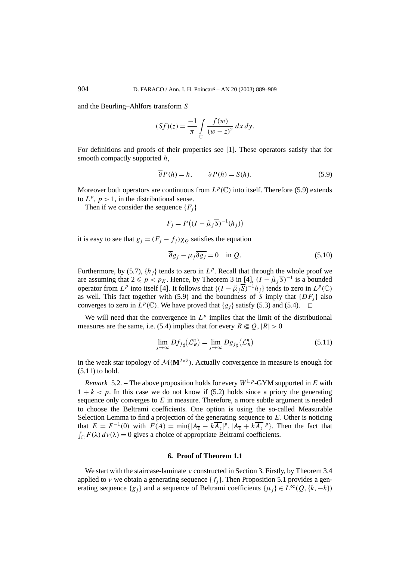and the Beurling–Ahlfors transform *S*

$$
(Sf)(z) = \frac{-1}{\pi} \int_{C} \frac{f(w)}{(w-z)^2} dx dy.
$$

For definitions and proofs of their properties see [1]. These operators satisfy that for smooth compactly supported *h*,

$$
\overline{\partial} P(h) = h, \qquad \partial P(h) = S(h). \tag{5.9}
$$

Moreover both operators are continuous from  $L^p(\mathbb{C})$  into itself. Therefore (5.9) extends to  $L^p$ ,  $p > 1$ , in the distributional sense.

Then if we consider the sequence  ${F_i}$ 

$$
F_j = P((I - \tilde{\mu}_j \overline{S})^{-1}(h_j))
$$

it is easy to see that  $g_i = (F_i - f_i)\chi_0$  satisfies the equation

$$
\overline{\partial}g_j - \mu_j \overline{\partial g_j} = 0 \quad \text{in } Q. \tag{5.10}
$$

Furthermore, by (5.7),  $\{h_i\}$  tends to zero in  $L^p$ . Recall that through the whole proof we are assuming that  $2 \leq p < p_K$ . Hence, by Theorem 3 in [4],  $(I - \tilde{\mu}_i \overline{S})^{-1}$  is a bounded operator from *L<sup>p</sup>* into itself [4]. It follows that  $\{(I - \tilde{\mu}_i \overline{S})^{-1}h_i\}$  tends to zero in  $L^p(\mathbb{C})$ as well. This fact together with (5.9) and the boundness of *S* imply that  $\{DF_i\}$  also converges to zero in  $L^p(\mathbb{C})$ . We have proved that  $\{g_i\}$  satisfy (5.3) and (5.4).  $\Box$ 

We will need that the convergence in  $L^p$  implies that the limit of the distributional measures are the same, i.e. (5.4) implies that for every  $R \in \mathcal{Q}, |R| > 0$ 

$$
\lim_{j \to \infty} Df_{j\sharp}(\mathcal{L}_R^n) = \lim_{j \to \infty} Dg_{j\sharp}(\mathcal{L}_R^n)
$$
\n(5.11)

in the weak star topology of  $M(M^{2\times2})$ . Actually convergence in measure is enough for (5.11) to hold.

*Remark* 5.2. – The above proposition holds for every  $W^{1,p}$ -GYM supported in *E* with  $1 + k < p$ . In this case we do not know if (5.2) holds since a priory the generating sequence only converges to *E* in measure. Therefore, a more subtle argument is needed to choose the Beltrami coefficients. One option is using the so-called Measurable Selection Lemma to find a projection of the generating sequence to *E*. Other is noticing that  $E = F^{-1}(0)$  with  $F(A) = \min\{|A_{\overline{z}} - k\overline{A_z}|^p, |A_{\overline{z}} + k\overline{A_z}|^p\}$ . Then the fact that  $\int_{\mathbb{C}} F(\lambda) d\nu(\lambda) = 0$  gives a choice of appropriate Beltrami coefficients.

## **6. Proof of Theorem 1.1**

We start with the staircase-laminate *ν* constructed in Section 3. Firstly, by Theorem 3.4 applied to *ν* we obtain a generating sequence  $\{f_i\}$ . Then Proposition 5.1 provides a generating sequence  $\{g_i\}$  and a sequence of Beltrami coefficients  $\{\mu_i\} \in L^{\infty}(Q, \{k, -k\})$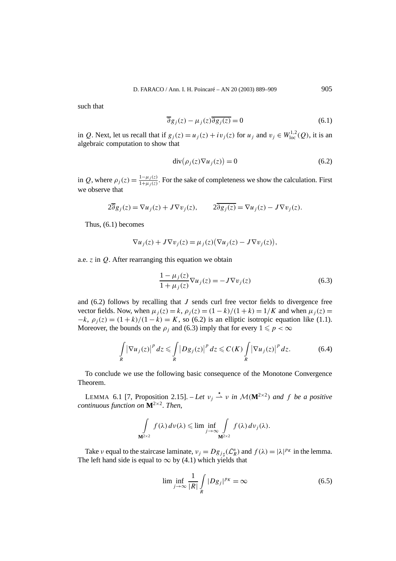such that

$$
\overline{\partial}g_j(z) - \mu_j(z)\overline{\partial g_j(z)} = 0
$$
\n(6.1)

in *Q*. Next, let us recall that if  $g_j(z) = u_j(z) + iv_j(z)$  for  $u_j$  and  $v_j \in W^{1,2}_{loc}(Q)$ , it is an algebraic computation to show that

$$
\operatorname{div}(\rho_j(z)\nabla u_j(z)) = 0 \tag{6.2}
$$

in *Q*, where  $\rho_j(z) = \frac{1 - \mu_j(z)}{1 + \mu_j(z)}$ . For the sake of completeness we show the calculation. First we observe that

$$
2\overline{\partial}g_j(z) = \nabla u_j(z) + J\nabla v_j(z), \qquad 2\overline{\partial g_j(z)} = \nabla u_j(z) - J\nabla v_j(z).
$$

Thus, (6.1) becomes

$$
\nabla u_j(z) + J \nabla v_j(z) = \mu_j(z) (\nabla u_j(z) - J \nabla v_j(z)),
$$

a.e. *z* in *Q*. After rearranging this equation we obtain

$$
\frac{1 - \mu_j(z)}{1 + \mu_j(z)} \nabla u_j(z) = -J \nabla v_j(z)
$$
\n(6.3)

and (6.2) follows by recalling that *J* sends curl free vector fields to divergence free vector fields. Now, when  $\mu_i(z) = k$ ,  $\rho_i(z) = (1 - k)/(1 + k) = 1/K$  and when  $\mu_i(z) =$  $-k$ ,  $\rho_i(z) = (1 + k)/(1 - k) = K$ , so (6.2) is an elliptic isotropic equation like (1.1). Moreover, the bounds on the  $\rho_i$  and (6.3) imply that for every  $1 \leq p < \infty$ 

$$
\int\limits_R |\nabla u_j(z)|^p dz \leq \int\limits_R |Dg_j(z)|^p dz \leqslant C(K) \int\limits_R |\nabla u_j(z)|^p dz.
$$
 (6.4)

To conclude we use the following basic consequence of the Monotone Convergence Theorem.

LEMMA 6.1 [7, Proposition 2.15]. – Let  $v_j \stackrel{*}{\rightharpoonup} v$  *in*  $\mathcal{M}(\mathbf{M}^{2\times 2})$  *and f be a positive continuous function on* **M**<sup>2</sup>×<sup>2</sup>*. Then,*

$$
\int_{\mathbf{M}^{2\times 2}} f(\lambda) d\nu(\lambda) \leqslant \lim \inf_{j \to \infty} \int_{\mathbf{M}^{2\times 2}} f(\lambda) d\nu_j(\lambda).
$$

Take *ν* equal to the staircase laminate,  $v_j = Dg_{j\sharp}(\mathcal{L}_R^n)$  and  $f(\lambda) = |\lambda|^{p_K}$  in the lemma. The left hand side is equal to  $\infty$  by (4.1) which yields that

$$
\liminf_{j \to \infty} \frac{1}{|R|} \int\limits_R |Dg_j|^{p_K} = \infty \tag{6.5}
$$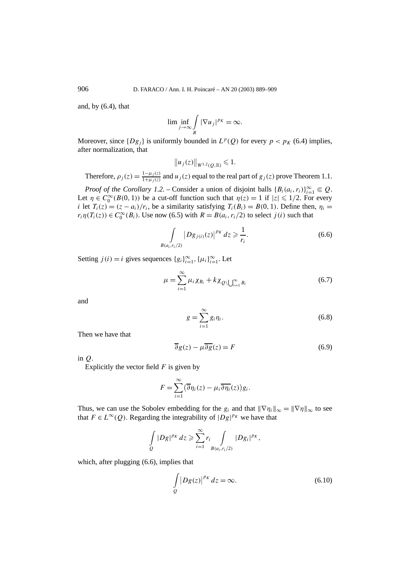and, by  $(6.4)$ , that

$$
\lim \inf_{j \to \infty} \int\limits_R |\nabla u_j|^{p_K} = \infty.
$$

Moreover, since  $\{Dg_i\}$  is uniformly bounded in  $L^p(Q)$  for every  $p < p_K$  (6.4) implies, after normalization, that

$$
||u_j(z)||_{W^{1,2}(Q,\mathbb{R})}\leq 1.
$$

Therefore,  $\rho_j(z) = \frac{1-\mu_j(z)}{1+\mu_j(z)}$  and  $u_j(z)$  equal to the real part of  $g_j(z)$  prove Theorem 1.1.

*Proof of the Corollary 1.2.* – Consider a union of disjoint balls  ${B_i(a_i, r_i)}_{i=1}^{\infty} \in Q$ . Let  $\eta \in C_0^{\infty}(B(0, 1))$  be a cut-off function such that  $\eta(z) = 1$  if  $|z| \leq 1/2$ . For every *i* let  $T_i(z) = (z - a_i)/r_i$ , be a similarity satisfying  $T_i(B_i) = B(0, 1)$ . Define then,  $\eta_i =$  $r_i \eta(T_i(z)) \in C_0^{\infty}(B_i)$ . Use now (6.5) with  $R = B(a_i, r_i/2)$  to select *j*(*i*) such that

$$
\int_{B(a_i,r_i/2)} |Dg_{j(i)}(z)|^{p_K} dz \ge \frac{1}{r_i}.
$$
\n(6.6)

Setting *j*(*i*) = *i* gives sequences { $g_i$ } $_{i=1}^{\infty}$ , { $\mu_i$ } $_{i=1}^{\infty}$ . Let

$$
\mu = \sum_{i=1}^{\infty} \mu_i \chi_{B_i} + k \chi_{Q \setminus \bigcup_{i=1}^{\infty} B_i}
$$
 (6.7)

and

$$
g = \sum_{i=1}^{\infty} g_i \eta_i.
$$
 (6.8)

Then we have that

$$
\overline{\partial}g(z) - \mu \overline{\partial g}(z) = F \tag{6.9}
$$

in *Q*.

Explicitly the vector field *F* is given by

$$
F = \sum_{i=1}^{\infty} (\overline{\partial} \eta_i(z) - \mu_i \overline{\partial \eta_i}(z)) g_i.
$$

Thus, we can use the Sobolev embedding for the  $g_i$  and that  $\|\nabla \eta_i\|_{\infty} = \|\nabla \eta\|_{\infty}$  to see that  $F \in L^{\infty}(Q)$ . Regarding the integrability of  $|Dg|^{p_K}$  we have that

$$
\int\limits_{Q} |Dg|^{p_K} dz \geqslant \sum_{i=1}^{\infty} r_i \int\limits_{B(a_i,r_i/2)} |Dg_i|^{p_K},
$$

which, after plugging  $(6.6)$ , implies that

$$
\int_{Q} |Dg(z)|^{p_K} dz = \infty.
$$
\n(6.10)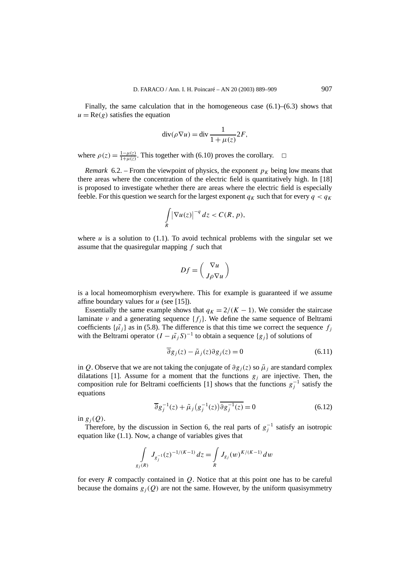Finally, the same calculation that in the homogeneous case  $(6.1)$ – $(6.3)$  shows that  $u = \text{Re}(g)$  satisfies the equation

$$
\operatorname{div}(\rho \nabla u) = \operatorname{div} \frac{1}{1 + \mu(z)} 2F,
$$

where  $\rho(z) = \frac{1 - \mu(z)}{1 + \mu(z)}$ . This together with (6.10) proves the corollary.  $\Box$ 

*Remark* 6.2. – From the viewpoint of physics, the exponent  $p<sub>K</sub>$  being low means that there areas where the concentration of the electric field is quantitatively high. In [18] is proposed to investigate whether there are areas where the electric field is especially feeble. For this question we search for the largest exponent  $q_K$  such that for every  $q < q_K$ 

$$
\int\limits_R |\nabla u(z)|^{-q}\, dz < C(R,\, p),
$$

where  $u$  is a solution to  $(1.1)$ . To avoid technical problems with the singular set we assume that the quasiregular mapping *f* such that

$$
Df = \left(\frac{\nabla u}{J\rho \nabla u}\right)
$$

is a local homeomorphism everywhere. This for example is guaranteed if we assume affine boundary values for *u* (see [15]).

Essentially the same example shows that  $q_K = 2/(K - 1)$ . We consider the staircase laminate *ν* and a generating sequence  $\{f_i\}$ . We define the same sequence of Beltrami coefficients  $\{\tilde{\mu}_i\}$  as in (5.8). The difference is that this time we correct the sequence  $f_i$ with the Beltrami operator  $(I - \tilde{\mu}_i S)^{-1}$  to obtain a sequence  $\{g_i\}$  of solutions of

$$
\overline{\partial}g_j(z) - \tilde{\mu}_j(z)\partial g_j(z) = 0
$$
\n(6.11)

in *Q*. Observe that we are not taking the conjugate of  $\partial g_i(z)$  so  $\tilde{\mu}_i$  are standard complex dilatations [1]. Assume for a moment that the functions  $g_i$  are injective. Then, the composition rule for Beltrami coefficients [1] shows that the functions  $g_j^{-1}$  satisfy the equations

$$
\overline{\partial}g_j^{-1}(z) + \tilde{\mu}_j(g_j^{-1}(z))\overline{\partial g_j^{-1}(z)} = 0
$$
\n(6.12)

in  $g_i(Q)$ .

Therefore, by the discussion in Section 6, the real parts of  $g_j^{-1}$  satisfy an isotropic equation like (1.1). Now, a change of variables gives that

$$
\int_{g_j(R)} J_{g_j^{-1}}(z)^{-1/(K-1)} dz = \int_R J_{g_j}(w)^{K/(K-1)} dw
$$

for every *R* compactly contained in *Q*. Notice that at this point one has to be careful because the domains  $g_i(Q)$  are not the same. However, by the uniform quasisymmetry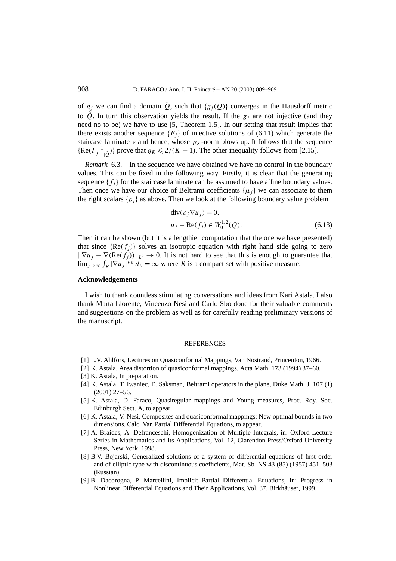of  $g_i$  we can find a domain  $\tilde{Q}$ , such that  $\{g_i(Q)\}\)$  converges in the Hausdorff metric to  $\tilde{Q}$ . In turn this observation yields the result. If the  $g_i$  are not injective (and they need no to be) we have to use [5, Theorem 1.5]. In our setting that result implies that there exists another sequence  ${F_i}$  of injective solutions of (6.11) which generate the staircase laminate *ν* and hence, whose  $p<sub>K</sub>$ -norm blows up. It follows that the sequence  ${Re(F_j^{-1}_{j} \over \tilde{Q}})$ } prove that  $q_K \leq 2/(K-1)$ . The other inequality follows from [2,15].

*Remark* 6.3. – In the sequence we have obtained we have no control in the boundary values. This can be fixed in the following way. Firstly, it is clear that the generating sequence  ${f_i}$  for the staircase laminate can be assumed to have affine boundary values. Then once we have our choice of Beltrami coefficients  $\{\mu_i\}$  we can associate to them the right scalars  $\{\rho_i\}$  as above. Then we look at the following boundary value problem

$$
\operatorname{div}(\rho_j \nabla u_j) = 0,
$$
  
\n
$$
u_j - \operatorname{Re}(f_j) \in W_0^{1,2}(Q).
$$
\n(6.13)

Then it can be shown (but it is a lengthier computation that the one we have presented) that since  ${Re(f_i)}$  solves an isotropic equation with right hand side going to zero  $\|\nabla u_i - \nabla(\text{Re}(f_i))\|_{L^2} \to 0$ . It is not hard to see that this is enough to guarantee that lim<sub>*j*→∞</sub>  $\int_R |\nabla u_j|^{p_K} dz = \infty$  where *R* is a compact set with positive measure.

#### **Acknowledgements**

I wish to thank countless stimulating conversations and ideas from Kari Astala. I also thank Marta Llorente, Vincenzo Nesi and Carlo Sbordone for their valuable comments and suggestions on the problem as well as for carefully reading preliminary versions of the manuscript.

#### **REFERENCES**

- [1] L.V. Ahlfors, Lectures on Quasiconformal Mappings, Van Nostrand, Princenton, 1966.
- [2] K. Astala, Area distortion of quasiconformal mappings, Acta Math. 173 (1994) 37–60.
- [3] K. Astala, In preparation.
- [4] K. Astala, T. Iwaniec, E. Saksman, Beltrami operators in the plane, Duke Math. J. 107 (1) (2001) 27–56.
- [5] K. Astala, D. Faraco, Quasiregular mappings and Young measures, Proc. Roy. Soc. Edinburgh Sect. A, to appear.
- [6] K. Astala, V. Nesi, Composites and quasiconformal mappings: New optimal bounds in two dimensions, Calc. Var. Partial Differential Equations, to appear.
- [7] A. Braides, A. Defranceschi, Homogenization of Multiple Integrals, in: Oxford Lecture Series in Mathematics and its Applications, Vol. 12, Clarendon Press/Oxford University Press, New York, 1998.
- [8] B.V. Bojarski, Generalized solutions of a system of differential equations of first order and of elliptic type with discontinuous coefficients, Mat. Sb. NS 43 (85) (1957) 451–503 (Russian).
- [9] B. Dacorogna, P. Marcellini, Implicit Partial Differential Equations, in: Progress in Nonlinear Differential Equations and Their Applications, Vol. 37, Birkhäuser, 1999.